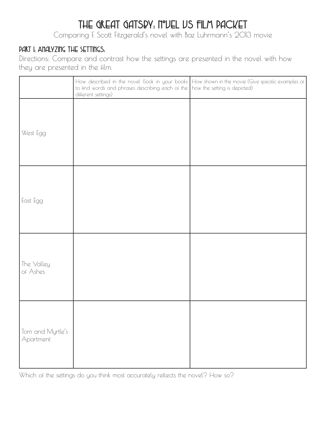# THE GREAT GATSPY: N°UEL US FILM PACKET

Comparing F. Scott Fitzgerald's novel with Baz Luhrmann's 2013 movie

# Part I: Analyzing the Settings:

Directions: Compare and contrast how the settings are presented in the novel with how they are presented in the film.

|                               | to find words and phrases describing each of the how the setting is depicted)<br>different settings) | How described in the novel (look in your books   How shown in the movie (Give specific examples of |
|-------------------------------|------------------------------------------------------------------------------------------------------|----------------------------------------------------------------------------------------------------|
| West Egg                      |                                                                                                      |                                                                                                    |
| East Egg                      |                                                                                                      |                                                                                                    |
| The Valley<br>of Ashes        |                                                                                                      |                                                                                                    |
| Tom and Myrtle's<br>Apartment |                                                                                                      |                                                                                                    |

Which of the settings do you think most accurately reflects the novel? How so?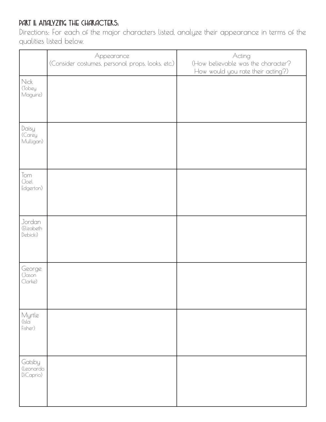# PART II: ANALYZING THE CHARACTERS:

Directions: For each of the major characters listed, analyze their appearance in terms of the qualities listed below.

|                                  | Appearance<br>(Consider costumes, personal props, looks, etc.) | Acting<br>(How believable was the character?<br>How would you rate their acting?) |
|----------------------------------|----------------------------------------------------------------|-----------------------------------------------------------------------------------|
| Nick<br>(Tobey<br>Maguire)       |                                                                |                                                                                   |
| Daisy<br>(Carey<br>Mulligan)     |                                                                |                                                                                   |
| Tom<br>(Joel<br>Edgerton)        |                                                                |                                                                                   |
| Jordan<br>(Elizabeth<br>Debicki) |                                                                |                                                                                   |
| George<br>(Jason<br>Clarke)      |                                                                |                                                                                   |
| Myrtle<br>(Isla<br>Fisher)       |                                                                |                                                                                   |
| Gatsby<br>(Leonardo<br>DiCaprio) |                                                                |                                                                                   |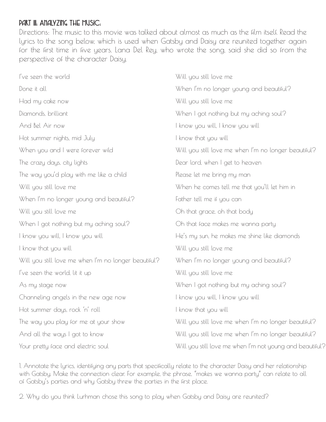#### PART III: ANALYZING THE MUSIC:

Directions: The music to this movie was talked about almost as much as the film itself. Read the lyrics to the song below, which is used when Gatsby and Daisy are reunited together again for the first time in five years. Lana Del Rey, who wrote the song, said she did so from the perspective of the character Daisy.

| I've seen the world                                  | Will you still love me                                   |  |
|------------------------------------------------------|----------------------------------------------------------|--|
| Done it all                                          | When I'm no longer young and beautiful?                  |  |
| Had my cake now                                      | Will you still love me                                   |  |
| Diamonds, brilliant                                  | When I got nothing but my aching soul?                   |  |
| And Bel Air now                                      | I know you will, I know you will                         |  |
| Hot summer nights, mid July                          | I know that you will                                     |  |
| When you and I were forever wild                     | Will you still love me when I'm no longer beautiful?     |  |
| The crazy days, city lights                          | Dear lord, when I get to heaven                          |  |
| The way you'd play with me like a child              | Please let me bring my man                               |  |
| Will you still love me                               | When he comes tell me that you'll let him in             |  |
| When I'm no longer young and beautiful?              | Father tell me if you can                                |  |
| Will you still love me                               | Oh that grace, oh that body                              |  |
| When I got nothing but my aching soul?               | Oh that face makes me wanna party                        |  |
| I know you will, I know you will                     | He's my sun, he makes me shine like diamonds             |  |
| I know that you will                                 | Will you still love me                                   |  |
| Will you still love me when I'm no longer beautiful? | When I'm no longer young and beautiful?                  |  |
| I've seen the world, lit it up                       | Will you still love me                                   |  |
| As my stage now                                      | When I got nothing but my aching soul?                   |  |
| Channeling angels in the new age now                 | I know you will, I know you will                         |  |
| Hot summer days, rock 'n' roll                       | I know that you will                                     |  |
| The way you play for me at your show                 | Will you still love me when I'm no longer beautiful?     |  |
| And all the ways I got to know                       | Will you still love me when I'm no longer beautiful?     |  |
| Your pretty face and electric soul                   | Will you still love me when I'm not young and beautiful? |  |

1. Annotate the lyrics, identifying any parts that specifically relate to the character Daisy and her relationship with Gatsby. Make the connection clear. For example, the phrase, "makes we wanna party" can relate to all of Gatsby's parties and why Gatsby threw the parties in the first place.

2. Why do you think Lurhman chose this song to play when Gatsby and Daisy are reunited?